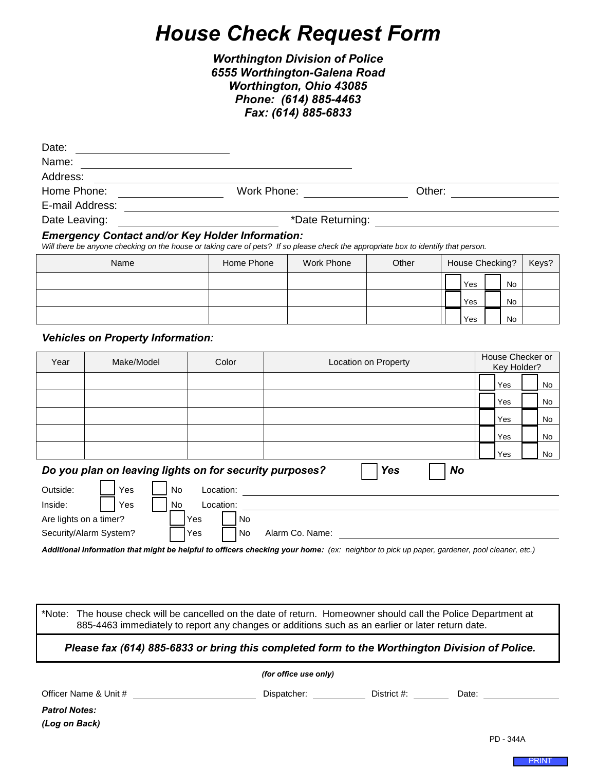## *House Check Request Form*

## *Worthington Division of Police 6555 Worthington-Galena Road Worthington, Ohio 43085 Phone: (614) 885-4463 Fax: (614) 885-6833*

| Date:                                                                                                                                                                                         |                   |                |             |                            |        |        |                 |           |                  |  |  |
|-----------------------------------------------------------------------------------------------------------------------------------------------------------------------------------------------|-------------------|----------------|-------------|----------------------------|--------|--------|-----------------|-----------|------------------|--|--|
| Name:                                                                                                                                                                                         |                   |                |             |                            |        |        |                 |           |                  |  |  |
| Address:                                                                                                                                                                                      |                   |                |             |                            |        |        |                 |           |                  |  |  |
| Home Phone:                                                                                                                                                                                   |                   |                | Work Phone: |                            |        | Other: |                 |           |                  |  |  |
| E-mail Address:                                                                                                                                                                               |                   |                |             |                            |        |        |                 |           |                  |  |  |
| Date Leaving:                                                                                                                                                                                 | *Date Returning:  |                |             |                            |        |        |                 |           |                  |  |  |
| <b>Emergency Contact and/or Key Holder Information:</b><br>Will there be anyone checking on the house or taking care of pets? If so please check the appropriate box to identify that person. |                   |                |             |                            |        |        |                 |           |                  |  |  |
|                                                                                                                                                                                               | Name              | Home Phone     |             | <b>Work Phone</b><br>Other |        |        | House Checking? |           |                  |  |  |
|                                                                                                                                                                                               |                   |                |             |                            |        |        | Yes             | No        |                  |  |  |
|                                                                                                                                                                                               |                   |                |             |                            |        |        | Yes             | <b>No</b> |                  |  |  |
|                                                                                                                                                                                               |                   |                |             |                            |        |        | Yes             | <b>No</b> |                  |  |  |
| <b>Vehicles on Property Information:</b>                                                                                                                                                      |                   |                |             |                            |        |        |                 |           |                  |  |  |
| $\lambda$                                                                                                                                                                                     | <b>BAILINA II</b> | $\sim$ $\cdot$ |             |                            | $\sim$ |        |                 |           | House Checker or |  |  |

| Year                                                                        | Make/Model             |     | Color     |  | Location on Property |                 |  |  | House Checker or<br>Key Holder? |     |  |    |
|-----------------------------------------------------------------------------|------------------------|-----|-----------|--|----------------------|-----------------|--|--|---------------------------------|-----|--|----|
|                                                                             |                        |     |           |  |                      |                 |  |  |                                 | Yes |  | No |
|                                                                             |                        |     |           |  |                      |                 |  |  |                                 | Yes |  | No |
|                                                                             |                        |     |           |  |                      |                 |  |  |                                 | Yes |  | No |
|                                                                             |                        |     |           |  |                      |                 |  |  |                                 | Yes |  | No |
|                                                                             |                        |     |           |  |                      |                 |  |  |                                 | Yes |  | No |
| Do you plan on leaving lights on for security purposes?<br><b>Yes</b><br>No |                        |     |           |  |                      |                 |  |  |                                 |     |  |    |
| Outside:                                                                    | Yes                    | No. | Location: |  |                      |                 |  |  |                                 |     |  |    |
| Inside:                                                                     | Yes<br>Location:<br>No |     |           |  |                      |                 |  |  |                                 |     |  |    |
| Are lights on a timer?                                                      |                        |     | Yes       |  | <b>No</b>            |                 |  |  |                                 |     |  |    |
| Security/Alarm System?                                                      |                        |     | Yes       |  | No                   | Alarm Co. Name: |  |  |                                 |     |  |    |

Additional Information that might be helpful to officers checking your home: (ex: neighbor to pick up paper, gardener, pool cleaner, etc.)

\*Note: The house check will be cancelled on the date of return. Homeowner should call the Police Department at 885-4463 immediately to report any changes or additions such as an earlier or later return date.

*Please fax (614) 885-6833 or bring this completed form to the Worthington Division of Police.*

*(for office use only)* Officer Name & Unit # \_\_\_\_\_\_\_\_\_\_\_\_\_\_\_\_\_\_\_\_\_\_\_\_\_\_\_\_\_\_\_\_\_Dispatcher: \_\_\_\_\_\_\_\_\_\_\_\_\_\_\_\_\_District #: \_\_\_\_\_\_\_\_\_\_\_\_Date: \_\_\_\_ *Patrol Notes: (Log on Back)*